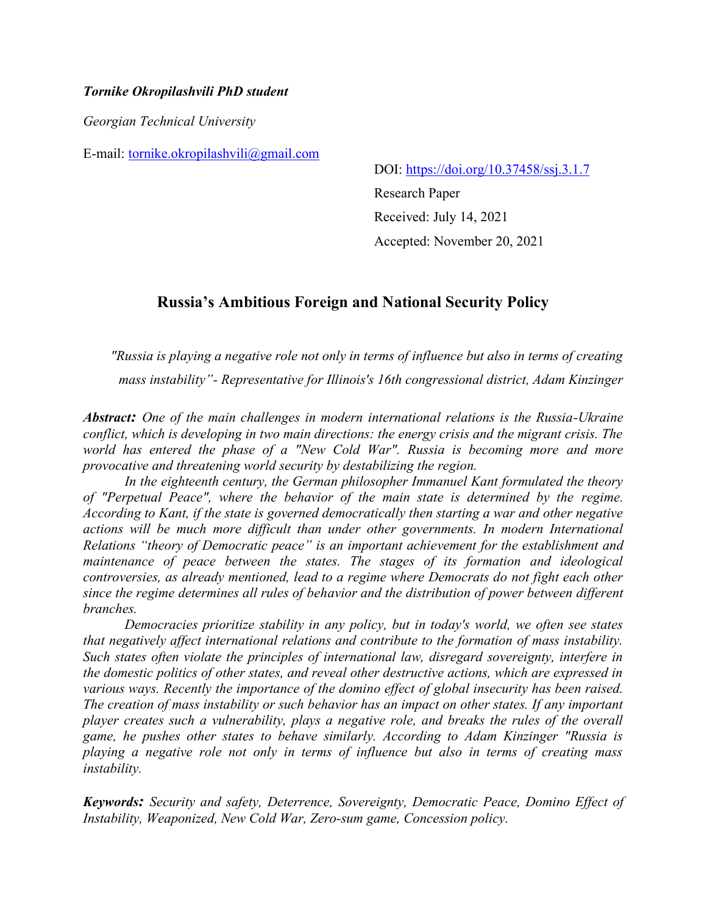## *Tornike Okropilashvili PhD student*

*Georgian Technical University*

E-mail: [tornike.okropilashvili@gmail.com](mailto:tornike.okropilashvili@gmail.com)

DOI: [https://doi.org/10.37458/ssj.3.1.7](https://doi.org/10.37458/ssj.3.1.1)

Research Paper Received: July 14, 2021 Accepted: November 20, 2021

# **Russia's Ambitious Foreign and National Security Policy**

*"Russia is playing a negative role not only in terms of influence but also in terms of creating mass instability"- Representative for Illinois's 16th congressional district, Adam Kinzinger*

*Abstract: One of the main challenges in modern international relations is the Russia-Ukraine conflict, which is developing in two main directions: the energy crisis and the migrant crisis. The world has entered the phase of a "New Cold War". Russia is becoming more and more provocative and threatening world security by destabilizing the region.*

*In the eighteenth century, the German philosopher Immanuel Kant formulated the theory of "Perpetual Peace", where the behavior of the main state is determined by the regime. According to Kant, if the state is governed democratically then starting a war and other negative actions will be much more difficult than under other governments. In modern International Relations "theory of Democratic peace" is an important achievement for the establishment and maintenance of peace between the states. The stages of its formation and ideological controversies, as already mentioned, lead to a regime where Democrats do not fight each other since the regime determines all rules of behavior and the distribution of power between different branches.*

*Democracies prioritize stability in any policy, but in today's world, we often see states that negatively affect international relations and contribute to the formation of mass instability. Such states often violate the principles of international law, disregard sovereignty, interfere in the domestic politics of other states, and reveal other destructive actions, which are expressed in various ways. Recently the importance of the domino effect of global insecurity has been raised. The creation of mass instability or such behavior has an impact on other states. If any important player creates such a vulnerability, plays a negative role, and breaks the rules of the overall game, he pushes other states to behave similarly. According to Adam Kinzinger "Russia is playing a negative role not only in terms of influence but also in terms of creating mass instability.*

*Keywords: Security and safety, Deterrence, Sovereignty, Democratic Peace, Domino Effect of Instability, Weaponized, New Cold War, Zero-sum game, Concession policy.*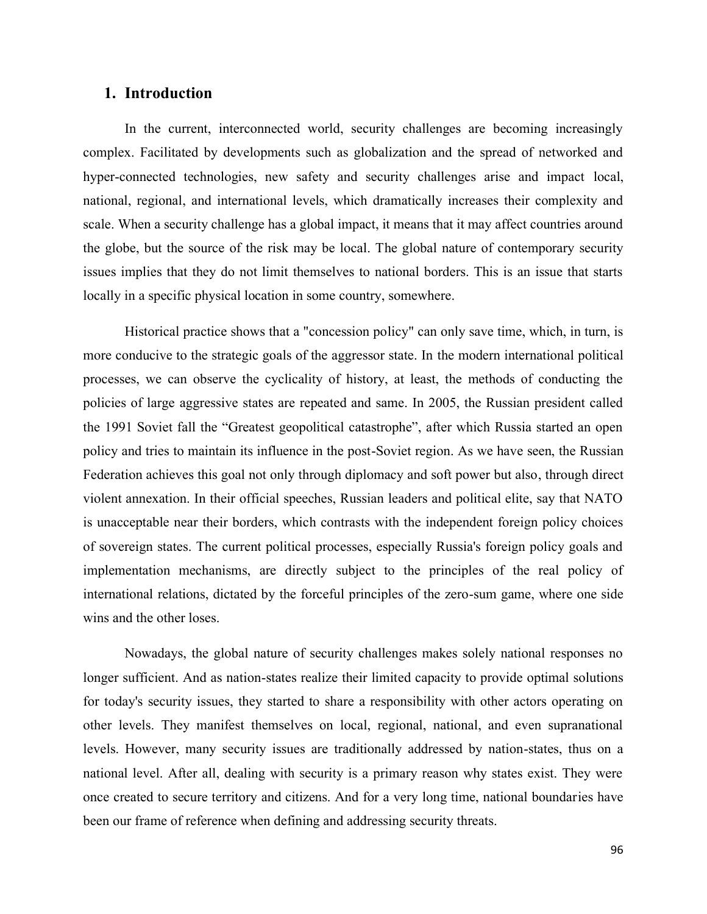## **1. Introduction**

In the current, interconnected world, security challenges are becoming increasingly complex. Facilitated by developments such as globalization and the spread of networked and hyper-connected technologies, new safety and security challenges arise and impact local, national, regional, and international levels, which dramatically increases their complexity and scale. When a security challenge has a global impact, it means that it may affect countries around the globe, but the source of the risk may be local. The global nature of contemporary security issues implies that they do not limit themselves to national borders. This is an issue that starts locally in a specific physical location in some country, somewhere.

Historical practice shows that a "concession policy" can only save time, which, in turn, is more conducive to the strategic goals of the aggressor state. In the modern international political processes, we can observe the cyclicality of history, at least, the methods of conducting the policies of large aggressive states are repeated and same. In 2005, the Russian president called the 1991 Soviet fall the "Greatest geopolitical catastrophe", after which Russia started an open policy and tries to maintain its influence in the post-Soviet region. As we have seen, the Russian Federation achieves this goal not only through diplomacy and soft power but also, through direct violent annexation. In their official speeches, Russian leaders and political elite, say that NATO is unacceptable near their borders, which contrasts with the independent foreign policy choices of sovereign states. The current political processes, especially Russia's foreign policy goals and implementation mechanisms, are directly subject to the principles of the real policy of international relations, dictated by the forceful principles of the zero-sum game, where one side wins and the other loses.

Nowadays, the global nature of security challenges makes solely national responses no longer sufficient. And as nation-states realize their limited capacity to provide optimal solutions for today's security issues, they started to share a responsibility with other actors operating on other levels. They manifest themselves on local, regional, national, and even supranational levels. However, many security issues are traditionally addressed by nation-states, thus on a national level. After all, dealing with security is a primary reason why states exist. They were once created to secure territory and citizens. And for a very long time, national boundaries have been our frame of reference when defining and addressing security threats.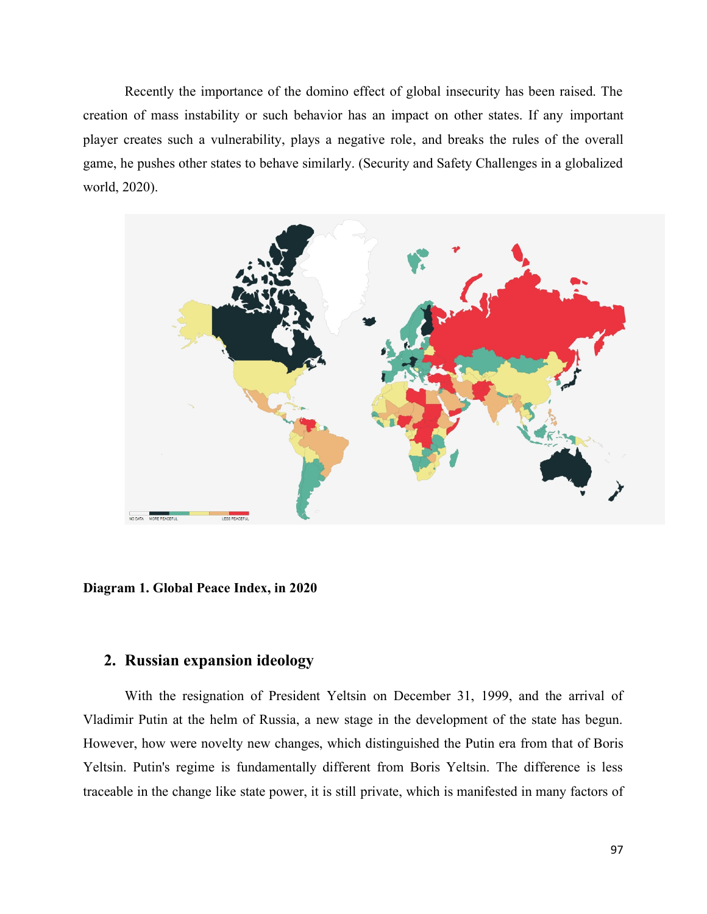Recently the importance of the domino effect of global insecurity has been raised. The creation of mass instability or such behavior has an impact on other states. If any important player creates such a vulnerability, plays a negative role, and breaks the rules of the overall game, he pushes other states to behave similarly. (Security and Safety Challenges in a globalized world, 2020).



**Diagram 1. Global Peace Index, in 2020**

## **2. Russian expansion ideology**

With the resignation of President Yeltsin on December 31, 1999, and the arrival of Vladimir Putin at the helm of Russia, a new stage in the development of the state has begun. However, how were novelty new changes, which distinguished the Putin era from that of Boris Yeltsin. Putin's regime is fundamentally different from Boris Yeltsin. The difference is less traceable in the change like state power, it is still private, which is manifested in many factors of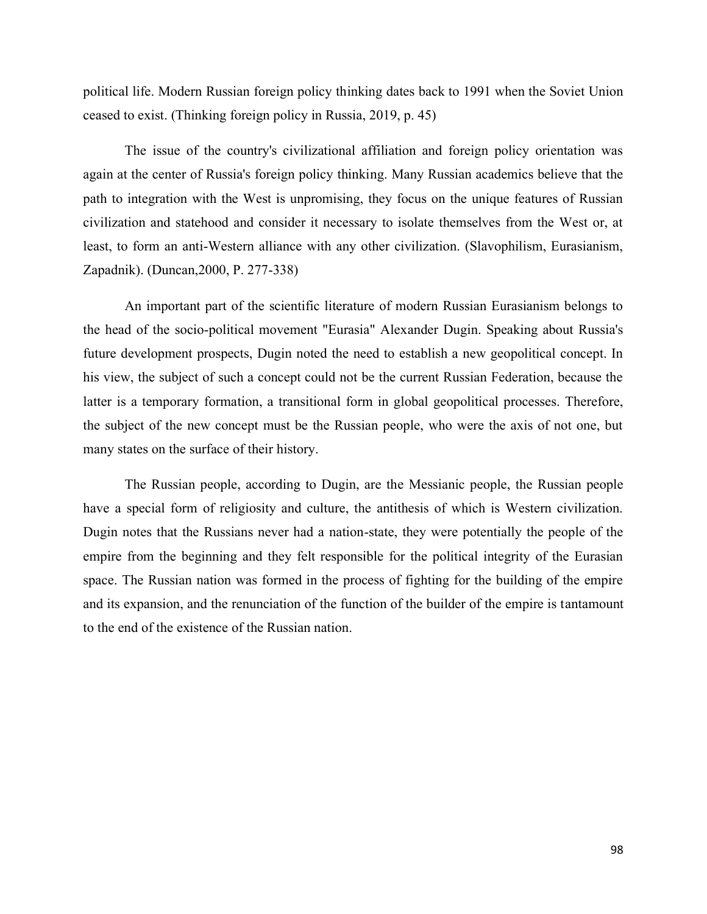political life. Modern Russian foreign policy thinking dates back to 1991 when the Soviet Union ceased to exist. (Thinking foreign policy in Russia, 2019, p. 45)

The issue of the country's civilizational affiliation and foreign policy orientation was again at the center of Russia's foreign policy thinking. Many Russian academics believe that the path to integration with the West is unpromising, they focus on the unique features of Russian civilization and statehood and consider it necessary to isolate themselves from the West or, at least, to form an anti-Western alliance with any other civilization. (Slavophilism, Eurasianism, Zapadnik). (Duncan,2000, P. 277-338)

An important part of the scientific literature of modern Russian Eurasianism belongs to the head of the socio-political movement "Eurasia" Alexander Dugin. Speaking about Russia's future development prospects, Dugin noted the need to establish a new geopolitical concept. In his view, the subject of such a concept could not be the current Russian Federation, because the latter is a temporary formation, a transitional form in global geopolitical processes. Therefore, the subject of the new concept must be the Russian people, who were the axis of not one, but many states on the surface of their history.

The Russian people, according to Dugin, are the Messianic people, the Russian people have a special form of religiosity and culture, the antithesis of which is Western civilization. Dugin notes that the Russians never had a nation-state, they were potentially the people of the empire from the beginning and they felt responsible for the political integrity of the Eurasian space. The Russian nation was formed in the process of fighting for the building of the empire and its expansion, and the renunciation of the function of the builder of the empire is tantamount to the end of the existence of the Russian nation.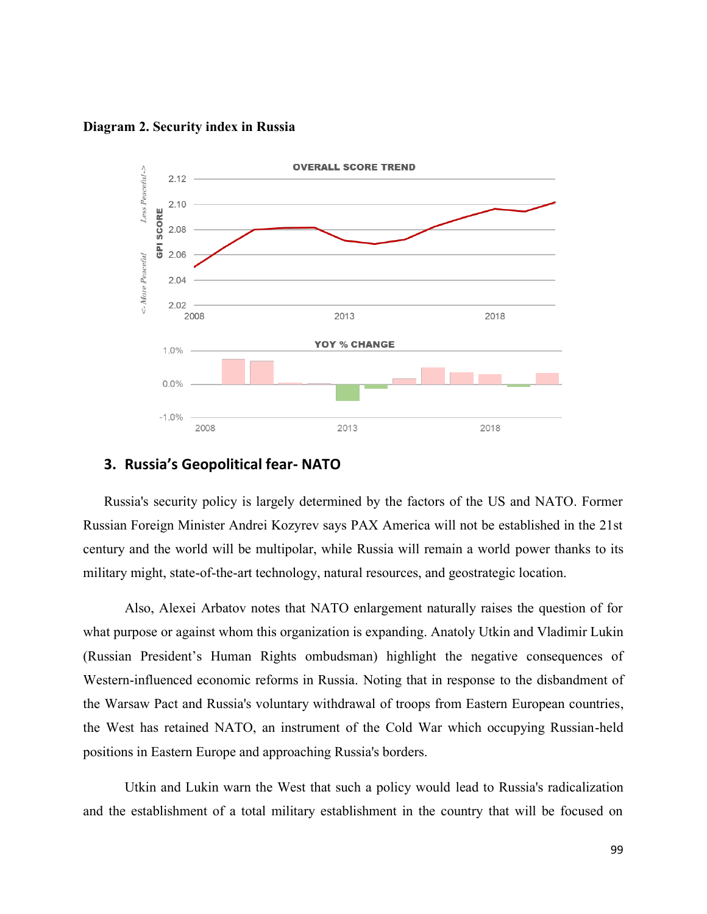**Diagram 2. Security index in Russia**



## **3. Russia's Geopolitical fear- NATO**

Russia's security policy is largely determined by the factors of the US and NATO. Former Russian Foreign Minister Andrei Kozyrev says PAX America will not be established in the 21st century and the world will be multipolar, while Russia will remain a world power thanks to its military might, state-of-the-art technology, natural resources, and geostrategic location.

Also, Alexei Arbatov notes that NATO enlargement naturally raises the question of for what purpose or against whom this organization is expanding. Anatoly Utkin and Vladimir Lukin (Russian President's Human Rights ombudsman) highlight the negative consequences of Western-influenced economic reforms in Russia. Noting that in response to the disbandment of the Warsaw Pact and Russia's voluntary withdrawal of troops from Eastern European countries, the West has retained NATO, an instrument of the Cold War which occupying Russian-held positions in Eastern Europe and approaching Russia's borders.

Utkin and Lukin warn the West that such a policy would lead to Russia's radicalization and the establishment of a total military establishment in the country that will be focused on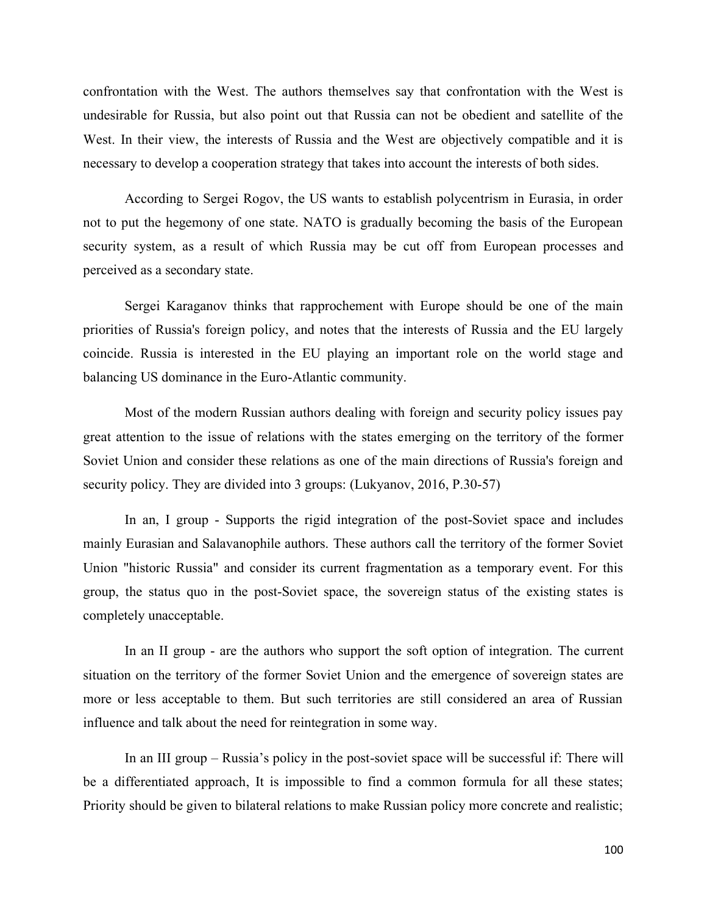confrontation with the West. The authors themselves say that confrontation with the West is undesirable for Russia, but also point out that Russia can not be obedient and satellite of the West. In their view, the interests of Russia and the West are objectively compatible and it is necessary to develop a cooperation strategy that takes into account the interests of both sides.

According to Sergei Rogov, the US wants to establish polycentrism in Eurasia, in order not to put the hegemony of one state. NATO is gradually becoming the basis of the European security system, as a result of which Russia may be cut off from European processes and perceived as a secondary state.

Sergei Karaganov thinks that rapprochement with Europe should be one of the main priorities of Russia's foreign policy, and notes that the interests of Russia and the EU largely coincide. Russia is interested in the EU playing an important role on the world stage and balancing US dominance in the Euro-Atlantic community.

Most of the modern Russian authors dealing with foreign and security policy issues pay great attention to the issue of relations with the states emerging on the territory of the former Soviet Union and consider these relations as one of the main directions of Russia's foreign and security policy. They are divided into 3 groups: (Lukyanov, 2016, P.30-57)

In an, I group - Supports the rigid integration of the post-Soviet space and includes mainly Eurasian and Salavanophile authors. These authors call the territory of the former Soviet Union "historic Russia" and consider its current fragmentation as a temporary event. For this group, the status quo in the post-Soviet space, the sovereign status of the existing states is completely unacceptable.

In an II group - are the authors who support the soft option of integration. The current situation on the territory of the former Soviet Union and the emergence of sovereign states are more or less acceptable to them. But such territories are still considered an area of Russian influence and talk about the need for reintegration in some way.

In an III group – Russia's policy in the post-soviet space will be successful if: There will be a differentiated approach, It is impossible to find a common formula for all these states; Priority should be given to bilateral relations to make Russian policy more concrete and realistic;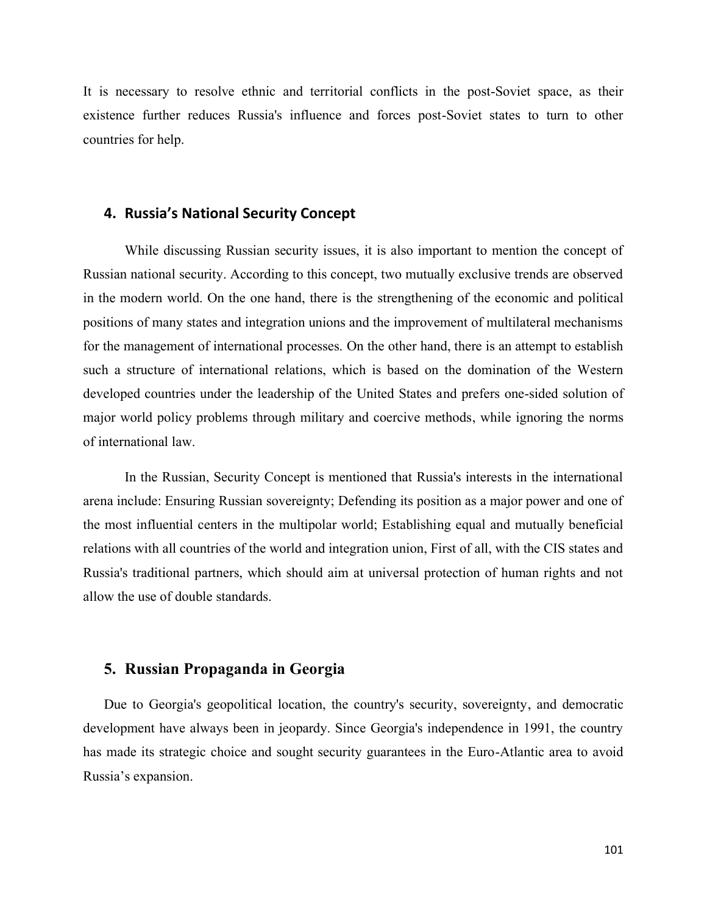It is necessary to resolve ethnic and territorial conflicts in the post-Soviet space, as their existence further reduces Russia's influence and forces post-Soviet states to turn to other countries for help.

#### **4. Russia's National Security Concept**

While discussing Russian security issues, it is also important to mention the concept of Russian national security. According to this concept, two mutually exclusive trends are observed in the modern world. On the one hand, there is the strengthening of the economic and political positions of many states and integration unions and the improvement of multilateral mechanisms for the management of international processes. On the other hand, there is an attempt to establish such a structure of international relations, which is based on the domination of the Western developed countries under the leadership of the United States and prefers one-sided solution of major world policy problems through military and coercive methods, while ignoring the norms of international law.

In the Russian, Security Concept is mentioned that Russia's interests in the international arena include: Ensuring Russian sovereignty; Defending its position as a major power and one of the most influential centers in the multipolar world; Establishing equal and mutually beneficial relations with all countries of the world and integration union, First of all, with the CIS states and Russia's traditional partners, which should aim at universal protection of human rights and not allow the use of double standards.

## **5. Russian Propaganda in Georgia**

Due to Georgia's geopolitical location, the country's security, sovereignty, and democratic development have always been in jeopardy. Since Georgia's independence in 1991, the country has made its strategic choice and sought security guarantees in the Euro-Atlantic area to avoid Russia's expansion.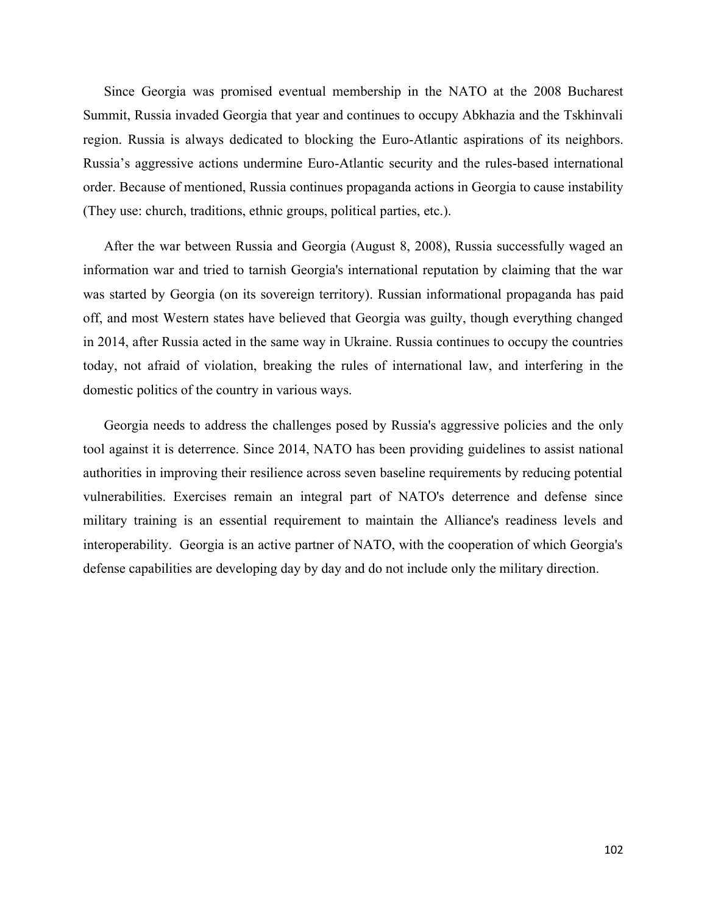Since Georgia was promised eventual membership in the NATO at the 2008 Bucharest Summit, Russia invaded Georgia that year and continues to occupy Abkhazia and the Tskhinvali region. Russia is always dedicated to blocking the Euro-Atlantic aspirations of its neighbors. Russia's aggressive actions undermine Euro-Atlantic security and the rules-based international order. Because of mentioned, Russia continues propaganda actions in Georgia to cause instability (They use: church, traditions, ethnic groups, political parties, etc.).

After the war between Russia and Georgia (August 8, 2008), Russia successfully waged an information war and tried to tarnish Georgia's international reputation by claiming that the war was started by Georgia (on its sovereign territory). Russian informational propaganda has paid off, and most Western states have believed that Georgia was guilty, though everything changed in 2014, after Russia acted in the same way in Ukraine. Russia continues to occupy the countries today, not afraid of violation, breaking the rules of international law, and interfering in the domestic politics of the country in various ways.

Georgia needs to address the challenges posed by Russia's aggressive policies and the only tool against it is deterrence. Since 2014, NATO has been providing guidelines to assist national authorities in improving their resilience across seven baseline requirements by reducing potential vulnerabilities. Exercises remain an integral part of NATO's deterrence and defense since military training is an essential requirement to maintain the Alliance's readiness levels and interoperability. Georgia is an active partner of NATO, with the cooperation of which Georgia's defense capabilities are developing day by day and do not include only the military direction.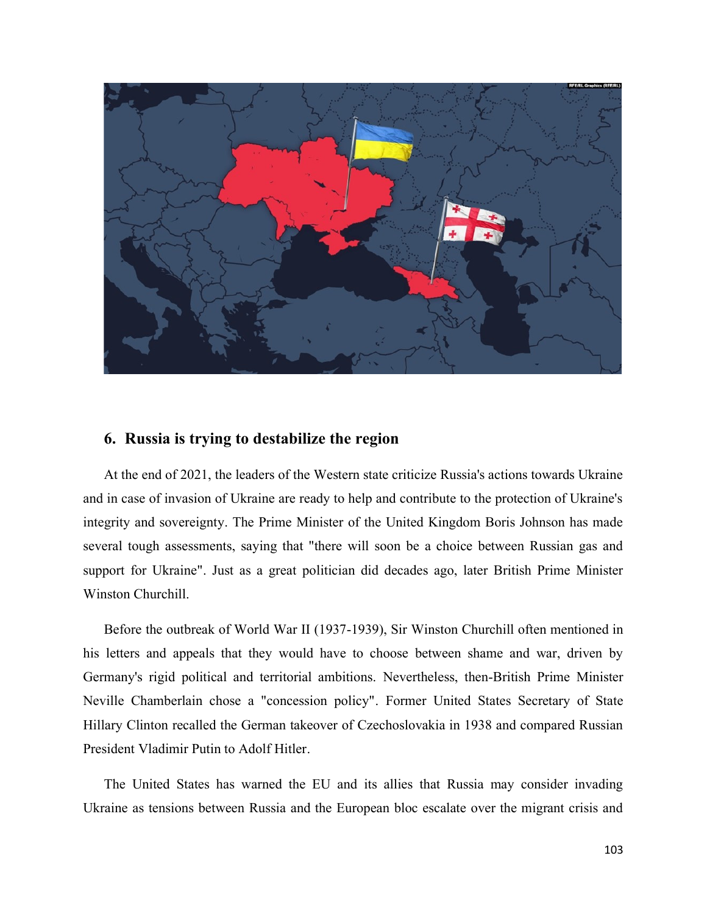

# **6. Russia is trying to destabilize the region**

At the end of 2021, the leaders of the Western state criticize Russia's actions towards Ukraine and in case of invasion of Ukraine are ready to help and contribute to the protection of Ukraine's integrity and sovereignty. The Prime Minister of the United Kingdom Boris Johnson has made several tough assessments, saying that "there will soon be a choice between Russian gas and support for Ukraine". Just as a great politician did decades ago, later British Prime Minister Winston Churchill.

Before the outbreak of World War II (1937-1939), Sir Winston Churchill often mentioned in his letters and appeals that they would have to choose between shame and war, driven by Germany's rigid political and territorial ambitions. Nevertheless, then-British Prime Minister Neville Chamberlain chose a "concession policy". Former United States Secretary of State Hillary Clinton recalled the German takeover of Czechoslovakia in 1938 and compared Russian President Vladimir Putin to Adolf Hitler.

The United States has warned the EU and its allies that Russia may consider invading Ukraine as tensions between Russia and the European bloc escalate over the migrant crisis and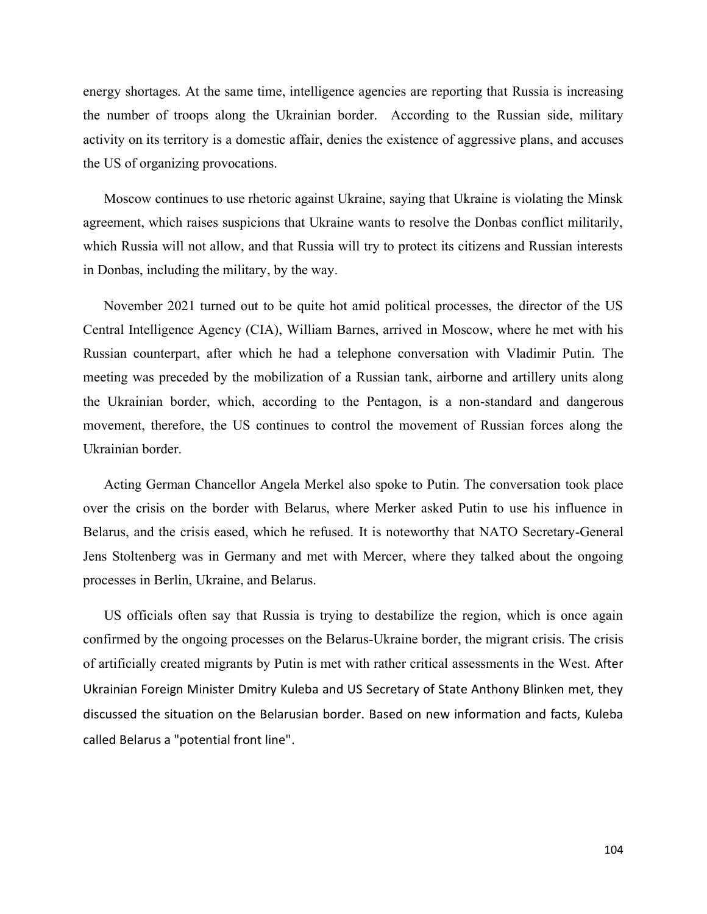energy shortages. At the same time, intelligence agencies are reporting that Russia is increasing the number of troops along the Ukrainian border. According to the Russian side, military activity on its territory is a domestic affair, denies the existence of aggressive plans, and accuses the US of organizing provocations.

Moscow continues to use rhetoric against Ukraine, saying that Ukraine is violating the Minsk agreement, which raises suspicions that Ukraine wants to resolve the Donbas conflict militarily, which Russia will not allow, and that Russia will try to protect its citizens and Russian interests in Donbas, including the military, by the way.

November 2021 turned out to be quite hot amid political processes, the director of the US Central Intelligence Agency (CIA), William Barnes, arrived in Moscow, where he met with his Russian counterpart, after which he had a telephone conversation with Vladimir Putin. The meeting was preceded by the mobilization of a Russian tank, airborne and artillery units along the Ukrainian border, which, according to the Pentagon, is a non-standard and dangerous movement, therefore, the US continues to control the movement of Russian forces along the Ukrainian border.

Acting German Chancellor Angela Merkel also spoke to Putin. The conversation took place over the crisis on the border with Belarus, where Merker asked Putin to use his influence in Belarus, and the crisis eased, which he refused. It is noteworthy that NATO Secretary-General Jens Stoltenberg was in Germany and met with Mercer, where they talked about the ongoing processes in Berlin, Ukraine, and Belarus.

US officials often say that Russia is trying to destabilize the region, which is once again confirmed by the ongoing processes on the Belarus-Ukraine border, the migrant crisis. The crisis of artificially created migrants by Putin is met with rather critical assessments in the West. After Ukrainian Foreign Minister Dmitry Kuleba and US Secretary of State Anthony Blinken met, they discussed the situation on the Belarusian border. Based on new information and facts, Kuleba called Belarus a "potential front line".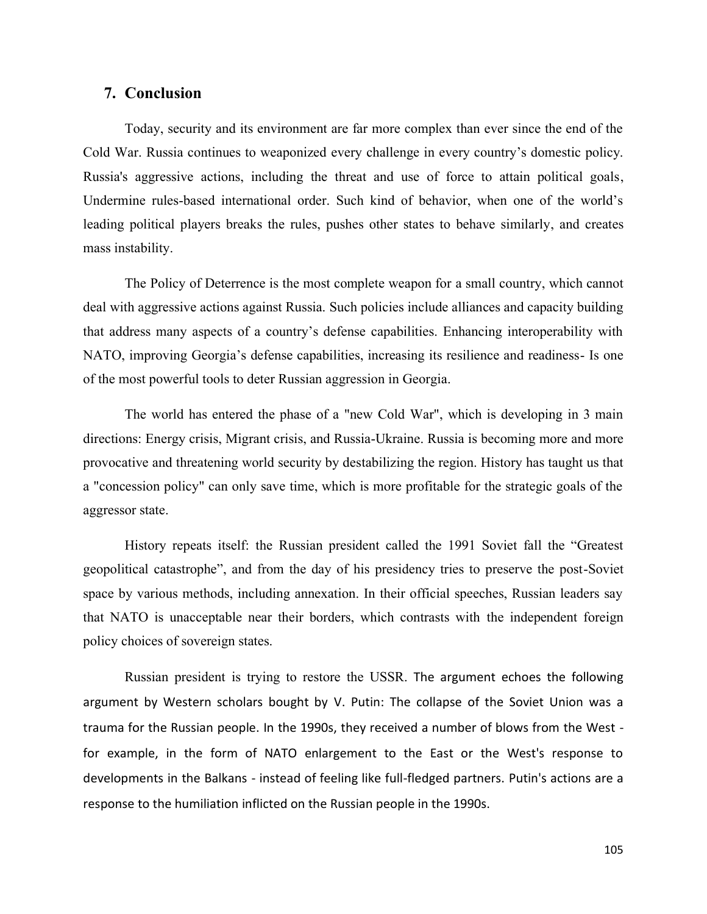## **7. Conclusion**

Today, security and its environment are far more complex than ever since the end of the Cold War. Russia continues to weaponized every challenge in every country's domestic policy. Russia's aggressive actions, including the threat and use of force to attain political goals, Undermine rules-based international order. Such kind of behavior, when one of the world's leading political players breaks the rules, pushes other states to behave similarly, and creates mass instability.

The Policy of Deterrence is the most complete weapon for a small country, which cannot deal with aggressive actions against Russia. Such policies include alliances and capacity building that address many aspects of a country's defense capabilities. Enhancing interoperability with NATO, improving Georgia's defense capabilities, increasing its resilience and readiness- Is one of the most powerful tools to deter Russian aggression in Georgia.

The world has entered the phase of a "new Cold War", which is developing in 3 main directions: Energy crisis, Migrant crisis, and Russia-Ukraine. Russia is becoming more and more provocative and threatening world security by destabilizing the region. History has taught us that a "concession policy" can only save time, which is more profitable for the strategic goals of the aggressor state.

History repeats itself: the Russian president called the 1991 Soviet fall the "Greatest geopolitical catastrophe", and from the day of his presidency tries to preserve the post-Soviet space by various methods, including annexation. In their official speeches, Russian leaders say that NATO is unacceptable near their borders, which contrasts with the independent foreign policy choices of sovereign states.

Russian president is trying to restore the USSR. The argument echoes the following argument by Western scholars bought by V. Putin: The collapse of the Soviet Union was a trauma for the Russian people. In the 1990s, they received a number of blows from the West for example, in the form of NATO enlargement to the East or the West's response to developments in the Balkans - instead of feeling like full-fledged partners. Putin's actions are a response to the humiliation inflicted on the Russian people in the 1990s.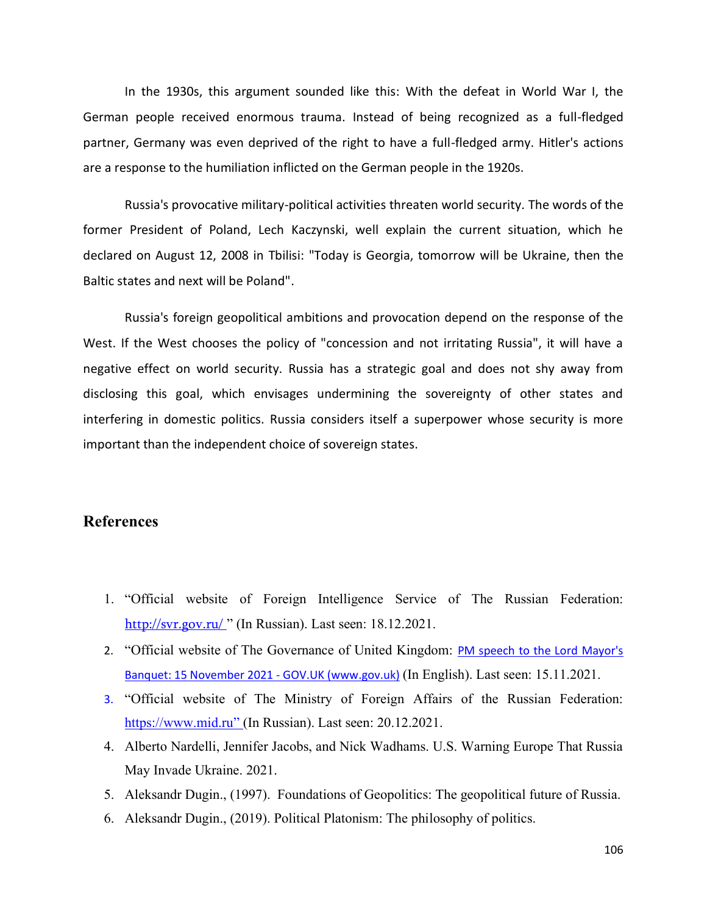In the 1930s, this argument sounded like this: With the defeat in World War I, the German people received enormous trauma. Instead of being recognized as a full-fledged partner, Germany was even deprived of the right to have a full-fledged army. Hitler's actions are a response to the humiliation inflicted on the German people in the 1920s.

Russia's provocative military-political activities threaten world security. The words of the former President of Poland, Lech Kaczynski, well explain the current situation, which he declared on August 12, 2008 in Tbilisi: "Today is Georgia, tomorrow will be Ukraine, then the Baltic states and next will be Poland".

Russia's foreign geopolitical ambitions and provocation depend on the response of the West. If the West chooses the policy of "concession and not irritating Russia", it will have a negative effect on world security. Russia has a strategic goal and does not shy away from disclosing this goal, which envisages undermining the sovereignty of other states and interfering in domestic politics. Russia considers itself a superpower whose security is more important than the independent choice of sovereign states.

## **References**

- 1. "Official website of Foreign Intelligence Service of The Russian Federation: <http://svr.gov.ru/>" (In Russian). Last seen: 18.12.2021.
- 2. "Official website of The Governance of United Kingdom: PM speech to the Lord Mayor's Banquet: 15 November 2021 - GOV.UK (www.gov.uk) (In English). Last seen: 15.11.2021.
- 3. "Official website of The Ministry of Foreign Affairs of the Russian Federation: [https://www.mid.ru](https://www.mid.ru/)" (In Russian). Last seen: 20.12.2021.
- 4. Alberto Nardelli, Jennifer Jacobs, and Nick Wadhams. U.S. Warning Europe That Russia May Invade Ukraine. 2021.
- 5. Aleksandr Dugin., (1997). Foundations of Geopolitics: The geopolitical future of Russia.
- 6. Aleksandr Dugin., (2019). Political Platonism: The philosophy of politics.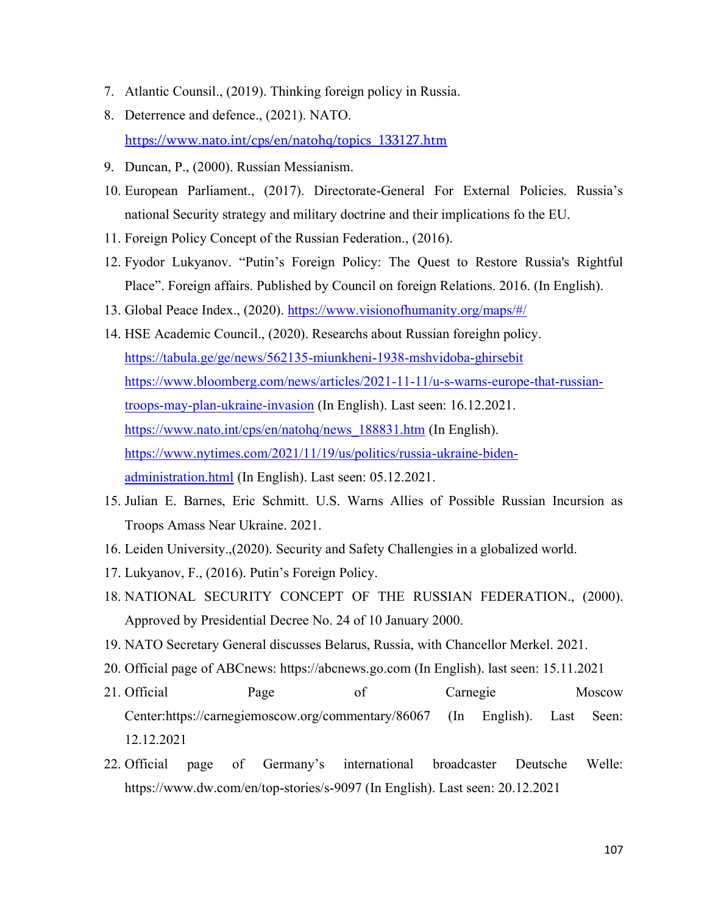- 7. Atlantic Counsil., (2019). Thinking foreign policy in Russia.
- 8. Deterrence and defence., (2021). NATO. [https://www.nato.int/cps/en/natohq/topics\\_133127.htm](https://www.nato.int/cps/en/natohq/topics_133127.htm)
- 9. Duncan, P., (2000). Russian Messianism.
- 10. European Parliament., (2017). Directorate-General For External Policies. Russia's national Security strategy and military doctrine and their implications fo the EU.
- 11. Foreign Policy Concept of the Russian Federation., (2016).
- 12. Fyodor Lukyanov. "Putin's Foreign Policy: The Quest to Restore Russia's Rightful Place". Foreign affairs. Published by Council on foreign Relations. 2016. (In English).
- 13. Global Peace Index., (2020).<https://www.visionofhumanity.org/maps/#/>
- 14. HSE Academic Council., (2020). Researchs about Russian foreighn policy. <https://tabula.ge/ge/news/562135-miunkheni-1938-mshvidoba-ghirsebit> [https://www.bloomberg.com/news/articles/2021-11-11/u-s-warns-europe-that-russian](https://www.bloomberg.com/news/articles/2021-11-11/u-s-warns-europe-that-russian-troops-may-plan-ukraine-invasion)[troops-may-plan-ukraine-invasion](https://www.bloomberg.com/news/articles/2021-11-11/u-s-warns-europe-that-russian-troops-may-plan-ukraine-invasion) (In English). Last seen: 16.12.2021. https://www.nato.int/cps/en/natohq/news 188831.htm (In English). [https://www.nytimes.com/2021/11/19/us/politics/russia-ukraine-biden](https://www.nytimes.com/2021/11/19/us/politics/russia-ukraine-biden-administration.html)[administration.html](https://www.nytimes.com/2021/11/19/us/politics/russia-ukraine-biden-administration.html) (In English). Last seen: 05.12.2021.
- 15. Julian E. Barnes, Eric Schmitt. U.S. Warns Allies of Possible Russian Incursion as Troops Amass Near Ukraine. 2021.
- 16. Leiden University.,(2020). Security and Safety Challengies in a globalized world.
- 17. Lukyanov, F., (2016). Putin's Foreign Policy.
- 18. NATIONAL SECURITY CONCEPT OF THE RUSSIAN FEDERATION., (2000). Approved by Presidential Decree No. 24 of 10 January 2000.
- 19. NATO Secretary General discusses Belarus, Russia, with Chancellor Merkel. 2021.
- 20. Official page of ABCnews: https://abcnews.go.com (In English). last seen: 15.11.2021
- 21. Official Page of Carnegie Moscow Center:https://carnegiemoscow.org/commentary/86067 (In English). Last Seen: 12.12.2021
- 22. Official page of Germany's international broadcaster Deutsche Welle: https://www.dw.com/en/top-stories/s-9097 (In English). Last seen: 20.12.2021